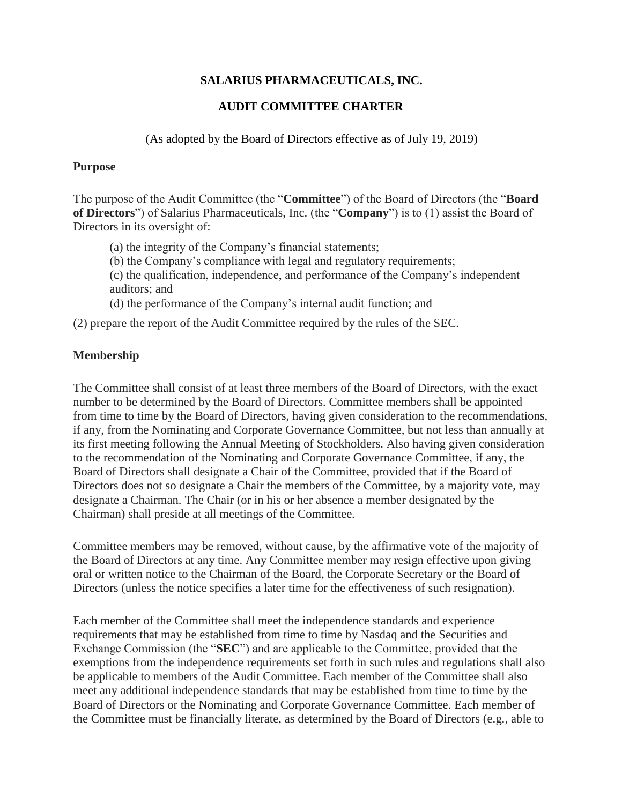# **SALARIUS PHARMACEUTICALS, INC.**

## **AUDIT COMMITTEE CHARTER**

(As adopted by the Board of Directors effective as of July 19, 2019)

#### **Purpose**

The purpose of the Audit Committee (the "**Committee**") of the Board of Directors (the "**Board of Directors**") of Salarius Pharmaceuticals, Inc. (the "**Company**") is to (1) assist the Board of Directors in its oversight of:

(a) the integrity of the Company's financial statements;

(b) the Company's compliance with legal and regulatory requirements;

(c) the qualification, independence, and performance of the Company's independent auditors; and

(d) the performance of the Company's internal audit function; and

(2) prepare the report of the Audit Committee required by the rules of the SEC.

## **Membership**

The Committee shall consist of at least three members of the Board of Directors, with the exact number to be determined by the Board of Directors. Committee members shall be appointed from time to time by the Board of Directors, having given consideration to the recommendations, if any, from the Nominating and Corporate Governance Committee, but not less than annually at its first meeting following the Annual Meeting of Stockholders. Also having given consideration to the recommendation of the Nominating and Corporate Governance Committee, if any, the Board of Directors shall designate a Chair of the Committee, provided that if the Board of Directors does not so designate a Chair the members of the Committee, by a majority vote, may designate a Chairman. The Chair (or in his or her absence a member designated by the Chairman) shall preside at all meetings of the Committee.

Committee members may be removed, without cause, by the affirmative vote of the majority of the Board of Directors at any time. Any Committee member may resign effective upon giving oral or written notice to the Chairman of the Board, the Corporate Secretary or the Board of Directors (unless the notice specifies a later time for the effectiveness of such resignation).

Each member of the Committee shall meet the independence standards and experience requirements that may be established from time to time by Nasdaq and the Securities and Exchange Commission (the "**SEC**") and are applicable to the Committee, provided that the exemptions from the independence requirements set forth in such rules and regulations shall also be applicable to members of the Audit Committee. Each member of the Committee shall also meet any additional independence standards that may be established from time to time by the Board of Directors or the Nominating and Corporate Governance Committee. Each member of the Committee must be financially literate, as determined by the Board of Directors (e.g., able to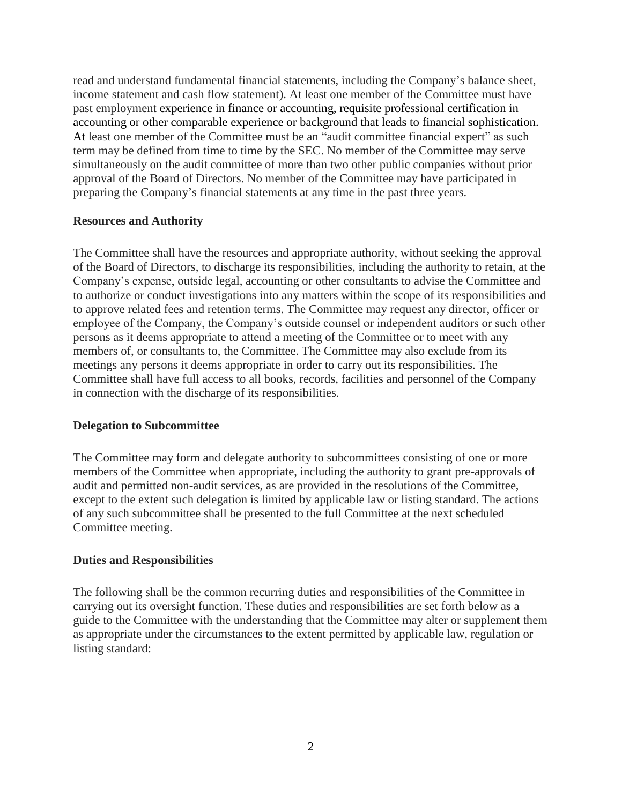read and understand fundamental financial statements, including the Company's balance sheet, income statement and cash flow statement). At least one member of the Committee must have past employment experience in finance or accounting, requisite professional certification in accounting or other comparable experience or background that leads to financial sophistication. At least one member of the Committee must be an "audit committee financial expert" as such term may be defined from time to time by the SEC. No member of the Committee may serve simultaneously on the audit committee of more than two other public companies without prior approval of the Board of Directors. No member of the Committee may have participated in preparing the Company's financial statements at any time in the past three years.

### **Resources and Authority**

The Committee shall have the resources and appropriate authority, without seeking the approval of the Board of Directors, to discharge its responsibilities, including the authority to retain, at the Company's expense, outside legal, accounting or other consultants to advise the Committee and to authorize or conduct investigations into any matters within the scope of its responsibilities and to approve related fees and retention terms. The Committee may request any director, officer or employee of the Company, the Company's outside counsel or independent auditors or such other persons as it deems appropriate to attend a meeting of the Committee or to meet with any members of, or consultants to, the Committee. The Committee may also exclude from its meetings any persons it deems appropriate in order to carry out its responsibilities. The Committee shall have full access to all books, records, facilities and personnel of the Company in connection with the discharge of its responsibilities.

### **Delegation to Subcommittee**

The Committee may form and delegate authority to subcommittees consisting of one or more members of the Committee when appropriate, including the authority to grant pre-approvals of audit and permitted non-audit services, as are provided in the resolutions of the Committee, except to the extent such delegation is limited by applicable law or listing standard. The actions of any such subcommittee shall be presented to the full Committee at the next scheduled Committee meeting.

### **Duties and Responsibilities**

The following shall be the common recurring duties and responsibilities of the Committee in carrying out its oversight function. These duties and responsibilities are set forth below as a guide to the Committee with the understanding that the Committee may alter or supplement them as appropriate under the circumstances to the extent permitted by applicable law, regulation or listing standard: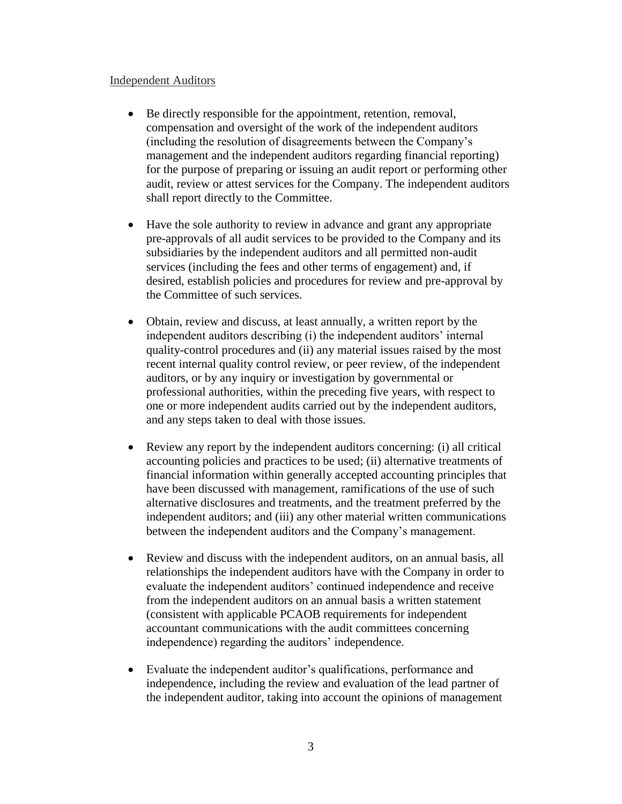#### Independent Auditors

- Be directly responsible for the appointment, retention, removal, compensation and oversight of the work of the independent auditors (including the resolution of disagreements between the Company's management and the independent auditors regarding financial reporting) for the purpose of preparing or issuing an audit report or performing other audit, review or attest services for the Company. The independent auditors shall report directly to the Committee.
- Have the sole authority to review in advance and grant any appropriate pre-approvals of all audit services to be provided to the Company and its subsidiaries by the independent auditors and all permitted non-audit services (including the fees and other terms of engagement) and, if desired, establish policies and procedures for review and pre-approval by the Committee of such services.
- Obtain, review and discuss, at least annually, a written report by the independent auditors describing (i) the independent auditors' internal quality-control procedures and (ii) any material issues raised by the most recent internal quality control review, or peer review, of the independent auditors, or by any inquiry or investigation by governmental or professional authorities, within the preceding five years, with respect to one or more independent audits carried out by the independent auditors, and any steps taken to deal with those issues.
- Review any report by the independent auditors concerning: (i) all critical accounting policies and practices to be used; (ii) alternative treatments of financial information within generally accepted accounting principles that have been discussed with management, ramifications of the use of such alternative disclosures and treatments, and the treatment preferred by the independent auditors; and (iii) any other material written communications between the independent auditors and the Company's management.
- Review and discuss with the independent auditors, on an annual basis, all relationships the independent auditors have with the Company in order to evaluate the independent auditors' continued independence and receive from the independent auditors on an annual basis a written statement (consistent with applicable PCAOB requirements for independent accountant communications with the audit committees concerning independence) regarding the auditors' independence.
- Evaluate the independent auditor's qualifications, performance and independence, including the review and evaluation of the lead partner of the independent auditor, taking into account the opinions of management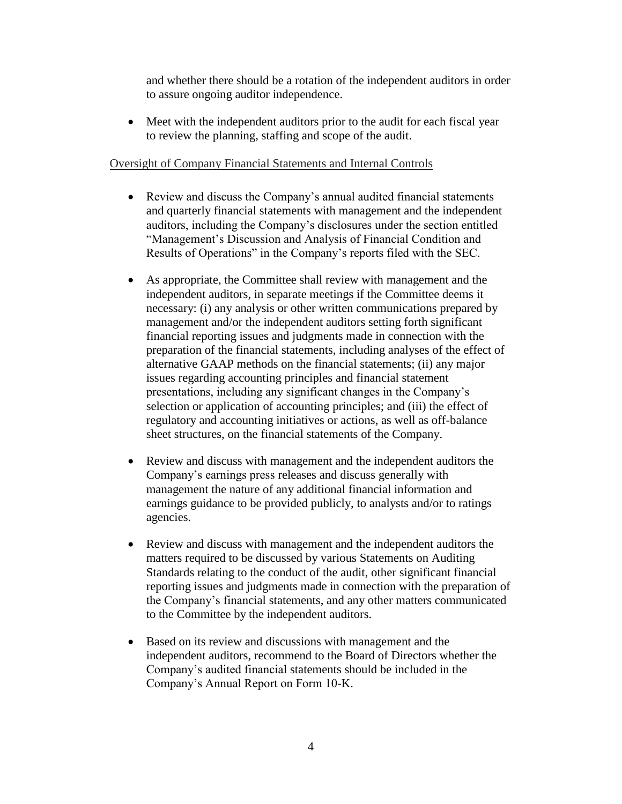and whether there should be a rotation of the independent auditors in order to assure ongoing auditor independence.

• Meet with the independent auditors prior to the audit for each fiscal year to review the planning, staffing and scope of the audit.

### Oversight of Company Financial Statements and Internal Controls

- Review and discuss the Company's annual audited financial statements and quarterly financial statements with management and the independent auditors, including the Company's disclosures under the section entitled "Management's Discussion and Analysis of Financial Condition and Results of Operations" in the Company's reports filed with the SEC.
- As appropriate, the Committee shall review with management and the independent auditors, in separate meetings if the Committee deems it necessary: (i) any analysis or other written communications prepared by management and/or the independent auditors setting forth significant financial reporting issues and judgments made in connection with the preparation of the financial statements, including analyses of the effect of alternative GAAP methods on the financial statements; (ii) any major issues regarding accounting principles and financial statement presentations, including any significant changes in the Company's selection or application of accounting principles; and (iii) the effect of regulatory and accounting initiatives or actions, as well as off-balance sheet structures, on the financial statements of the Company.
- Review and discuss with management and the independent auditors the Company's earnings press releases and discuss generally with management the nature of any additional financial information and earnings guidance to be provided publicly, to analysts and/or to ratings agencies.
- Review and discuss with management and the independent auditors the matters required to be discussed by various Statements on Auditing Standards relating to the conduct of the audit, other significant financial reporting issues and judgments made in connection with the preparation of the Company's financial statements, and any other matters communicated to the Committee by the independent auditors.
- Based on its review and discussions with management and the independent auditors, recommend to the Board of Directors whether the Company's audited financial statements should be included in the Company's Annual Report on Form 10-K.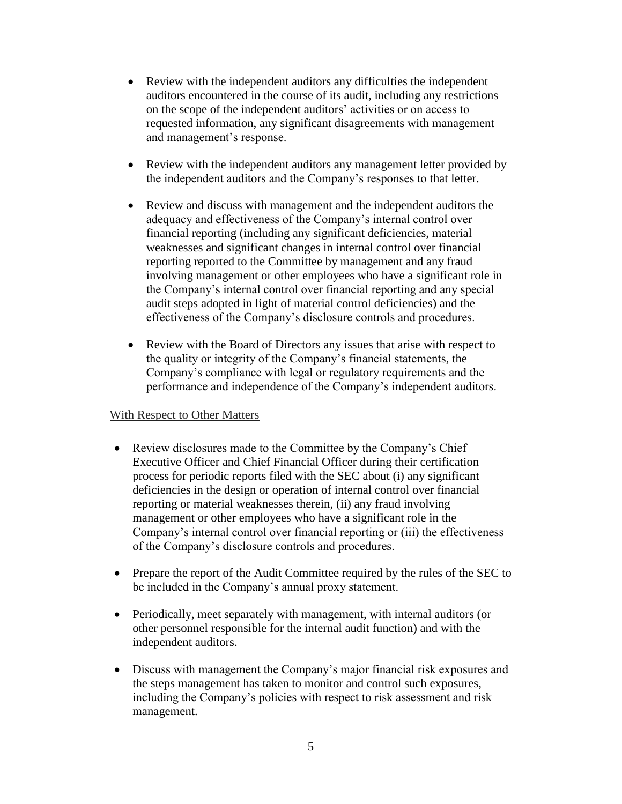- Review with the independent auditors any difficulties the independent auditors encountered in the course of its audit, including any restrictions on the scope of the independent auditors' activities or on access to requested information, any significant disagreements with management and management's response.
- Review with the independent auditors any management letter provided by the independent auditors and the Company's responses to that letter.
- Review and discuss with management and the independent auditors the adequacy and effectiveness of the Company's internal control over financial reporting (including any significant deficiencies, material weaknesses and significant changes in internal control over financial reporting reported to the Committee by management and any fraud involving management or other employees who have a significant role in the Company's internal control over financial reporting and any special audit steps adopted in light of material control deficiencies) and the effectiveness of the Company's disclosure controls and procedures.
- Review with the Board of Directors any issues that arise with respect to the quality or integrity of the Company's financial statements, the Company's compliance with legal or regulatory requirements and the performance and independence of the Company's independent auditors.

### With Respect to Other Matters

- Review disclosures made to the Committee by the Company's Chief Executive Officer and Chief Financial Officer during their certification process for periodic reports filed with the SEC about (i) any significant deficiencies in the design or operation of internal control over financial reporting or material weaknesses therein, (ii) any fraud involving management or other employees who have a significant role in the Company's internal control over financial reporting or (iii) the effectiveness of the Company's disclosure controls and procedures.
- Prepare the report of the Audit Committee required by the rules of the SEC to be included in the Company's annual proxy statement.
- Periodically, meet separately with management, with internal auditors (or other personnel responsible for the internal audit function) and with the independent auditors.
- Discuss with management the Company's major financial risk exposures and the steps management has taken to monitor and control such exposures, including the Company's policies with respect to risk assessment and risk management.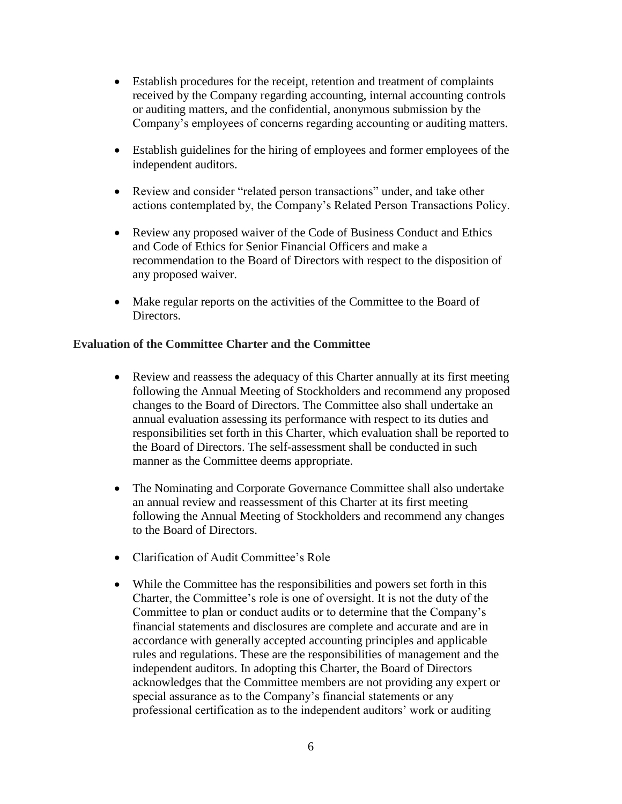- Establish procedures for the receipt, retention and treatment of complaints received by the Company regarding accounting, internal accounting controls or auditing matters, and the confidential, anonymous submission by the Company's employees of concerns regarding accounting or auditing matters.
- Establish guidelines for the hiring of employees and former employees of the independent auditors.
- Review and consider "related person transactions" under, and take other actions contemplated by, the Company's Related Person Transactions Policy.
- Review any proposed waiver of the Code of Business Conduct and Ethics and Code of Ethics for Senior Financial Officers and make a recommendation to the Board of Directors with respect to the disposition of any proposed waiver.
- Make regular reports on the activities of the Committee to the Board of Directors.

## **Evaluation of the Committee Charter and the Committee**

- Review and reassess the adequacy of this Charter annually at its first meeting following the Annual Meeting of Stockholders and recommend any proposed changes to the Board of Directors. The Committee also shall undertake an annual evaluation assessing its performance with respect to its duties and responsibilities set forth in this Charter, which evaluation shall be reported to the Board of Directors. The self-assessment shall be conducted in such manner as the Committee deems appropriate.
- The Nominating and Corporate Governance Committee shall also undertake an annual review and reassessment of this Charter at its first meeting following the Annual Meeting of Stockholders and recommend any changes to the Board of Directors.
- Clarification of Audit Committee's Role
- While the Committee has the responsibilities and powers set forth in this Charter, the Committee's role is one of oversight. It is not the duty of the Committee to plan or conduct audits or to determine that the Company's financial statements and disclosures are complete and accurate and are in accordance with generally accepted accounting principles and applicable rules and regulations. These are the responsibilities of management and the independent auditors. In adopting this Charter, the Board of Directors acknowledges that the Committee members are not providing any expert or special assurance as to the Company's financial statements or any professional certification as to the independent auditors' work or auditing